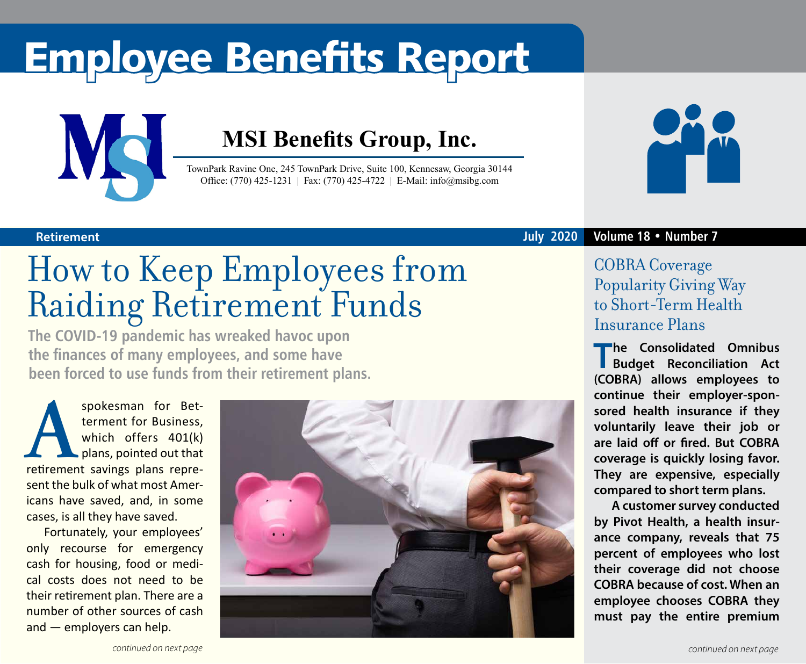# Employee Benefits Report



### **MSI Benefits Group, Inc.**

TownPark Ravine One, 245 TownPark Drive, Suite 100, Kennesaw, Georgia 30144 Office: (770) 425-1231 | Fax: (770) 425-4722 | E-Mail: info@msibg.com



## How to Keep Employees from Raiding Retirement Funds

**The COVID-19 pandemic has wreaked havoc upon the finances of many employees, and some have been forced to use funds from their retirement plans.**

spokesman for Bet-<br>terment for Business,<br>which offers 401(k)<br>retirement savings plans repreterment for Business, which offers 401(k) plans, pointed out that sent the bulk of what most Americans have saved, and, in some cases, is all they have saved.

Fortunately, your employees' only recourse for emergency cash for housing, food or medical costs does not need to be their retirement plan. There are a number of other sources of cash and — employers can help.



### **Retirement July 2020 Volume 18 • Number 7**

### COBRA Coverage Popularity Giving Way to Short-Term Health Insurance Plans

**The Consolidated Omnibus Budget Reconciliation Act (COBRA) allows employees to continue their employer-sponsored health insurance if they voluntarily leave their job or are laid off or fired. But COBRA coverage is quickly losing favor. They are expensive, especially compared to short term plans.** 

**A customer survey conducted by Pivot Health, a health insurance company, reveals that 75 percent of employees who lost their coverage did not choose COBRA because of cost. When an employee chooses COBRA they must pay the entire premium**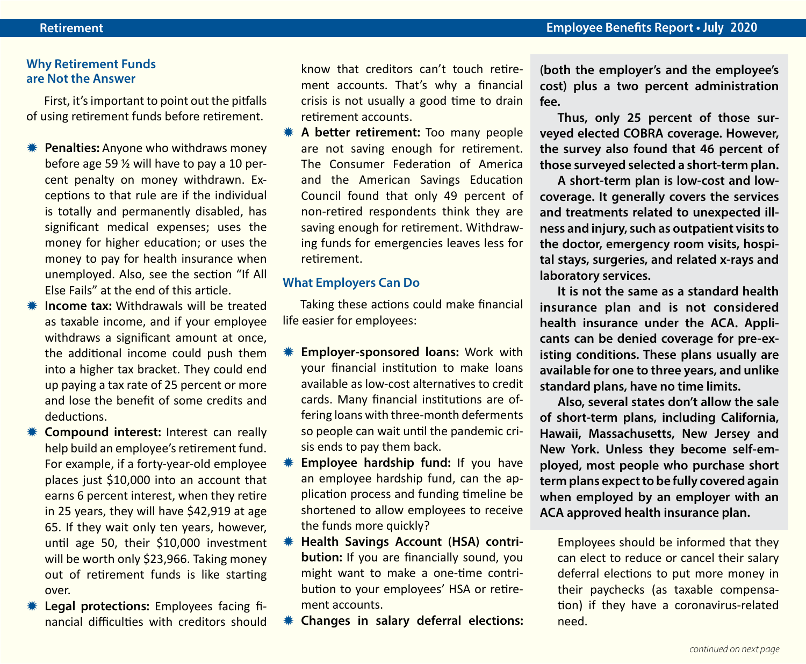### **Why Retirement Funds are Not the Answer**

First, it's important to point out the pitfalls of using retirement funds before retirement.

- **\#\** Penalties: Anyone who withdraws money before age 59 ½ will have to pay a 10 percent penalty on money withdrawn. Exceptions to that rule are if the individual is totally and permanently disabled, has significant medical expenses; uses the money for higher education; or uses the money to pay for health insurance when unemployed. Also, see the section "If All Else Fails" at the end of this article.
- **K** Income tax: Withdrawals will be treated as taxable income, and if your employee withdraws a significant amount at once, the additional income could push them into a higher tax bracket. They could end up paying a tax rate of 25 percent or more and lose the benefit of some credits and deductions.
- **\*\*** Compound interest: Interest can really help build an employee's retirement fund. For example, if a forty-year-old employee places just \$10,000 into an account that earns 6 percent interest, when they retire in 25 years, they will have \$42,919 at age 65. If they wait only ten years, however, until age 50, their \$10,000 investment will be worth only \$23,966. Taking money out of retirement funds is like starting over.
- **\* Legal protections:** Employees facing financial difficulties with creditors should

know that creditors can't touch retirement accounts. That's why a financial crisis is not usually a good time to drain retirement accounts.

**\*\*** A better retirement: Too many people are not saving enough for retirement. The Consumer Federation of America and the American Savings Education Council found that only 49 percent of non-retired respondents think they are saving enough for retirement. Withdrawing funds for emergencies leaves less for retirement.

#### **What Employers Can Do**

Taking these actions could make financial life easier for employees:

- **\# Employer-sponsored loans:** Work with your financial institution to make loans available as low-cost alternatives to credit cards. Many financial institutions are offering loans with three-month deferments so people can wait until the pandemic crisis ends to pay them back.
- **Employee hardship fund:** If you have an employee hardship fund, can the application process and funding timeline be shortened to allow employees to receive the funds more quickly?
- **Health Savings Account (HSA) contribution:** If you are financially sound, you might want to make a one-time contribution to your employees' HSA or retirement accounts.
- **K** Changes in salary deferral elections:

**(both the employer's and the employee's cost) plus a two percent administration fee.** 

**Thus, only 25 percent of those surveyed elected COBRA coverage. However, the survey also found that 46 percent of those surveyed selected a short-term plan.** 

**A short-term plan is low-cost and lowcoverage. It generally covers the services and treatments related to unexpected illness and injury, such as outpatient visits to the doctor, emergency room visits, hospital stays, surgeries, and related x-rays and laboratory services.**

**It is not the same as a standard health insurance plan and is not considered health insurance under the ACA. Applicants can be denied coverage for pre-existing conditions. These plans usually are available for one to three years, and unlike standard plans, have no time limits.** 

**Also, several states don't allow the sale of short-term plans, including California, Hawaii, Massachusetts, New Jersey and New York. Unless they become self-employed, most people who purchase short term plans expect to be fully covered again when employed by an employer with an ACA approved health insurance plan.**

Employees should be informed that they can elect to reduce or cancel their salary deferral elections to put more money in their paychecks (as taxable compensation) if they have a coronavirus-related need.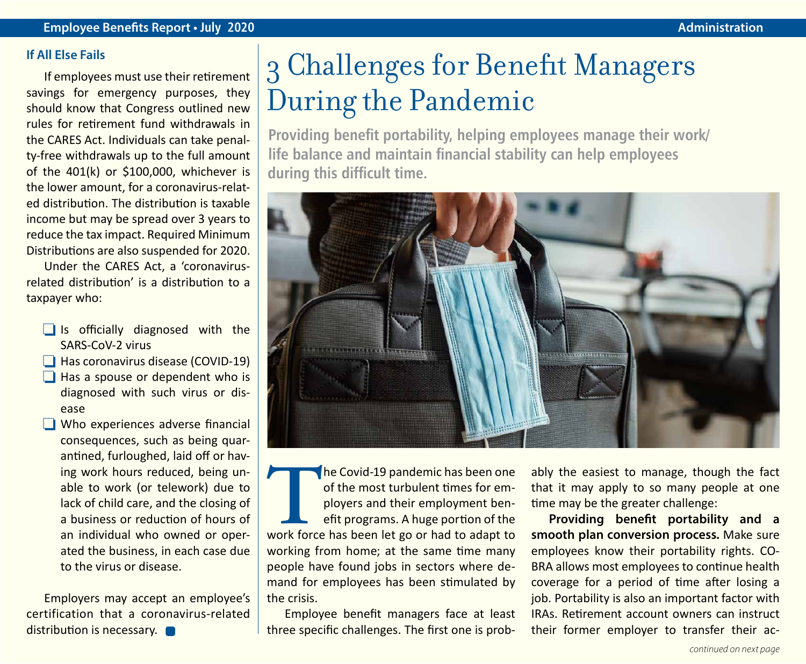#### **If All Else Fails**

If employees must use their retirement savings for emergency purposes, they should know that Congress outlined new rules for retirement fund withdrawals in the CARES Act. Individuals can take penalty-free withdrawals up to the full amount of the 401(k) or \$100,000, whichever is the lower amount, for a coronavirus-related distribution. The distribution is taxable income but may be spread over 3 years to reduce the tax impact. Required Minimum Distributions are also suspended for 2020.

Under the CARES Act, a 'coronavirusrelated distribution' is a distribution to a taxpayer who:

- $\Box$  Is officially diagnosed with the SARS-CoV-2 virus
- $\Box$  Has coronavirus disease (COVID-19)
- $\Box$  Has a spouse or dependent who is diagnosed with such virus or disease
- $\Box$  Who experiences adverse financial consequences, such as being quarantined, furloughed, laid off or having work hours reduced, being unable to work (or telework) due to lack of child care, and the closing of a business or reduction of hours of an individual who owned or operated the business, in each case due to the virus or disease.

Employers may accept an employee's certification that a coronavirus-related distribution is necessary.

### 3 Challenges for Benefit Managers During the Pandemic

**Providing benefit portability, helping employees manage their work/ life balance and maintain financial stability can help employees during this difficult time.**



The Covid-19 pandemic has been one of the most turbulent times for employers and their employment benefit programs. A huge portion of the work force has been let go or had to adapt to of the most turbulent times for employers and their employment benefit programs. A huge portion of the working from home; at the same time many people have found jobs in sectors where demand for employees has been stimulated by the crisis.

Employee benefit managers face at least three specific challenges. The first one is probably the easiest to manage, though the fact that it may apply to so many people at one time may be the greater challenge:

**Providing benefit portability and a smooth plan conversion process.** Make sure employees know their portability rights. CO-BRA allows most employees to continue health coverage for a period of time after losing a job. Portability is also an important factor with IRAs. Retirement account owners can instruct their former employer to transfer their ac-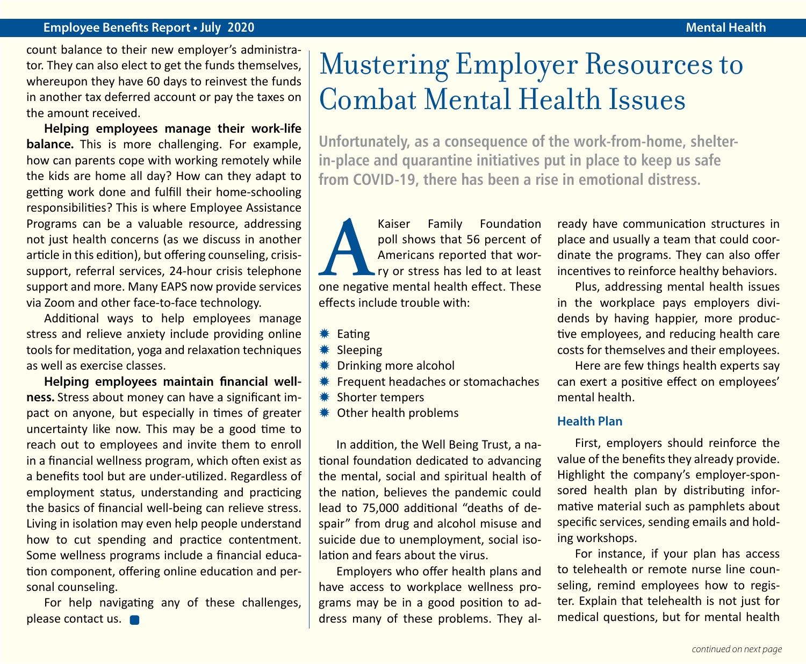### **Employee Benefits Report • July 2020 Mental Health**

count balance to their new employer's administrator. They can also elect to get the funds themselves, whereupon they have 60 days to reinvest the funds in another tax deferred account or pay the taxes on the amount received.

**Helping employees manage their work-life balance.** This is more challenging. For example, how can parents cope with working remotely while the kids are home all day? How can they adapt to getting work done and fulfill their home-schooling responsibilities? This is where Employee Assistance Programs can be a valuable resource, addressing not just health concerns (as we discuss in another article in this edition), but offering counseling, crisissupport, referral services, 24-hour crisis telephone support and more. Many EAPS now provide services via Zoom and other face-to-face technology.

Additional ways to help employees manage stress and relieve anxiety include providing online tools for meditation, yoga and relaxation techniques as well as exercise classes.

**Helping employees maintain financial wellness.** Stress about money can have a significant impact on anyone, but especially in times of greater uncertainty like now. This may be a good time to reach out to employees and invite them to enroll in a financial wellness program, which often exist as a benefits tool but are under-utilized. Regardless of employment status, understanding and practicing the basics of financial well-being can relieve stress. Living in isolation may even help people understand how to cut spending and practice contentment. Some wellness programs include a financial education component, offering online education and personal counseling.

For help navigating any of these challenges, please contact us.

### Mustering Employer Resources to Combat Mental Health Issues

**Unfortunately, as a consequence of the work-from-home, shelterin-place and quarantine initiatives put in place to keep us safe from COVID-19, there has been a rise in emotional distress.**

Kaiser Family Foundation<br>
poll shows that 56 percent of<br>
A mericans reported that wor-<br>
ry or stress has led to at least<br>
one negative mental health effect. These poll shows that 56 percent of Americans reported that worry or stress has led to at least effects include trouble with:

- $*$  Eating
- \* Sleeping
- **\** Drinking more alcohol
- **\** Frequent headaches or stomachaches
- **\*\*** Shorter tempers
- **\* Other health problems**

In addition, the Well Being Trust, a national foundation dedicated to advancing the mental, social and spiritual health of the nation, believes the pandemic could lead to 75,000 additional "deaths of despair" from drug and alcohol misuse and suicide due to unemployment, social isolation and fears about the virus.

Employers who offer health plans and have access to workplace wellness programs may be in a good position to address many of these problems. They already have communication structures in place and usually a team that could coordinate the programs. They can also offer incentives to reinforce healthy behaviors.

Plus, addressing mental health issues in the workplace pays employers dividends by having happier, more productive employees, and reducing health care costs for themselves and their employees.

Here are few things health experts say can exert a positive effect on employees' mental health.

### **Health Plan**

First, employers should reinforce the value of the benefits they already provide. Highlight the company's employer-sponsored health plan by distributing informative material such as pamphlets about specific services, sending emails and holding workshops.

For instance, if your plan has access to telehealth or remote nurse line counseling, remind employees how to register. Explain that telehealth is not just for medical questions, but for mental health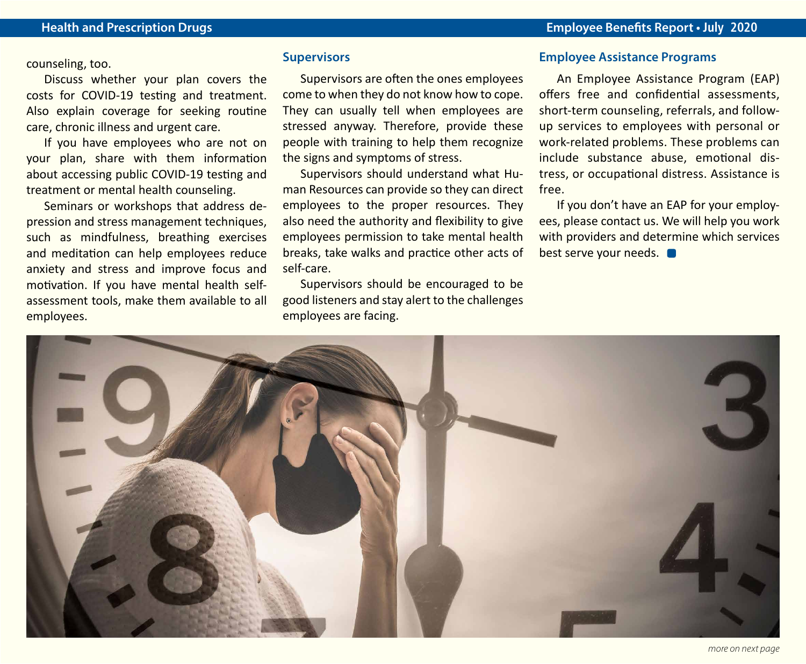counseling, too.

Discuss whether your plan covers the costs for COVID-19 testing and treatment. Also explain coverage for seeking routine care, chronic illness and urgent care.

If you have employees who are not on your plan, share with them information about accessing public COVID-19 testing and treatment or mental health counseling.

Seminars or workshops that address depression and stress management techniques, such as mindfulness, breathing exercises and meditation can help employees reduce anxiety and stress and improve focus and motivation. If you have mental health selfassessment tools, make them available to all employees.

#### **Supervisors**

Supervisors are often the ones employees come to when they do not know how to cope. They can usually tell when employees are stressed anyway. Therefore, provide these people with training to help them recognize the signs and symptoms of stress.

Supervisors should understand what Human Resources can provide so they can direct employees to the proper resources. They also need the authority and flexibility to give employees permission to take mental health breaks, take walks and practice other acts of self-care.

Supervisors should be encouraged to be good listeners and stay alert to the challenges employees are facing.

#### **Employee Assistance Programs**

An Employee Assistance Program (EAP) offers free and confidential assessments, short-term counseling, referrals, and followup services to employees with personal or work-related problems. These problems can include substance abuse, emotional distress, or occupational distress. Assistance is free.

If you don't have an EAP for your employees, please contact us. We will help you work with providers and determine which services best serve your needs.